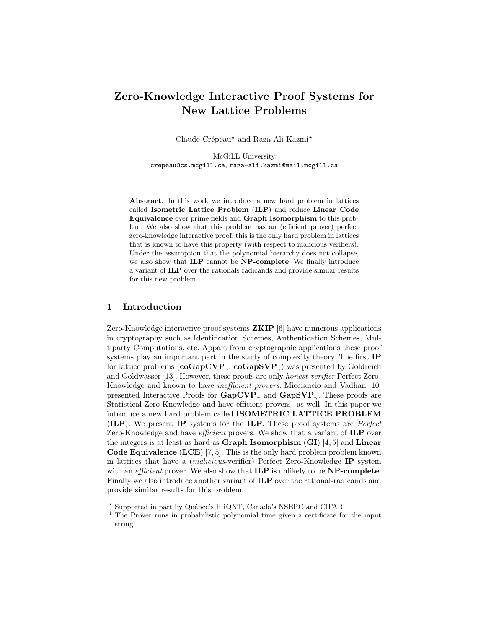# Zero-Knowledge Interactive Proof Systems for New Lattice Problems

Claude Crépeau\* and Raza Ali Kazmi\*

McGiLL University crepeau@cs.mcgill.ca, raza-ali.kazmi@mail.mcgill.ca

Abstract. In this work we introduce a new hard problem in lattices called Isometric Lattice Problem (ILP) and reduce Linear Code Equivalence over prime fields and Graph Isomorphism to this problem. We also show that this problem has an (efficient prover) perfect zero-knowledge interactive proof; this is the only hard problem in lattices that is known to have this property (with respect to malicious verifiers). Under the assumption that the polynomial hierarchy does not collapse, we also show that ILP cannot be NP-complete. We finally introduce a variant of ILP over the rationals radicands and provide similar results for this new problem.

# 1 Introduction

Zero-Knowledge interactive proof systems ZKIP [6] have numerous applications in cryptography such as Identification Schemes, Authentication Schemes, Multiparty Computations, etc. Appart from cryptographic applications these proof systems play an important part in the study of complexity theory. The first IP for lattice problems  $(\mathbf{coGapCVP}_{\gamma}, \mathbf{coGapSVP}_{\gamma})$  was presented by Goldreich and Goldwasser [13]. However, these proofs are only honest-verifier Perfect Zero-Knowledge and known to have inefficient provers. Micciancio and Vadhan [10] presented Interactive Proofs for  $\text{GapCVP}_{\gamma}$  and  $\text{GapSVP}_{\gamma}$ . These proofs are Statistical Zero-Knowledge and have efficient provers<sup>1</sup> as well. In this paper we introduce a new hard problem called ISOMETRIC LATTICE PROBLEM (ILP). We present IP systems for the ILP. These proof systems are Perfect Zero-Knowledge and have *efficient* provers. We show that a variant of **ILP** over the integers is at least as hard as **Graph Isomorphism**  $(GI)$  [4, 5] and **Linear Code Equivalence (LCE)** [7, 5]. This is the only hard problem problem known in lattices that have a (malicious-verifier) Perfect Zero-Knowledge IP system with an *efficient* prover. We also show that **ILP** is unlikely to be **NP-complete**. Finally we also introduce another variant of ILP over the rational-radicands and provide similar results for this problem.

<sup>\*</sup> Supported in part by Québec's FRQNT, Canada's NSERC and CIFAR.

<sup>&</sup>lt;sup>1</sup> The Prover runs in probabilistic polynomial time given a certificate for the input string.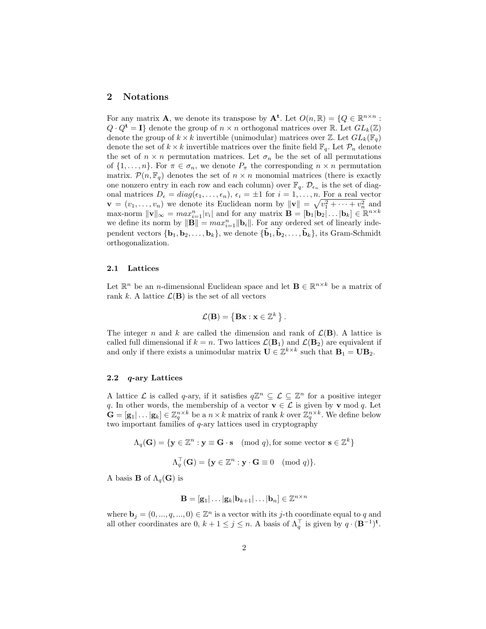#### 2 Notations

For any matrix **A**, we denote its transpose by  $A^t$ . Let  $O(n, \mathbb{R}) = \{Q \in \mathbb{R}^{n \times n}$ :  $Q \cdot Q^{\mathbf{t}} = I$  denote the group of  $n \times n$  orthogonal matrices over R. Let  $GL_k(\mathbb{Z})$ denote the group of  $k \times k$  invertible (unimodular) matrices over Z. Let  $GL_k(\mathbb{F}_q)$ denote the set of  $k \times k$  invertible matrices over the finite field  $\mathbb{F}_q$ . Let  $\mathcal{P}_n$  denote the set of  $n \times n$  permutation matrices. Let  $\sigma_n$  be the set of all permutations of  $\{1,\ldots,n\}$ . For  $\pi \in \sigma_n$ , we denote  $P_{\pi}$  the corresponding  $n \times n$  permutation matrix.  $\mathcal{P}(n, \mathbb{F}_q)$  denotes the set of  $n \times n$  monomial matrices (there is exactly one nonzero entry in each row and each column) over  $\mathbb{F}_q$ .  $\mathcal{D}_{\epsilon_n}$  is the set of diagonal matrices  $D_{\epsilon} = diag(\epsilon_1, \ldots, \epsilon_n), \epsilon_i = \pm 1$  for  $i = 1, \ldots, n$ . For a real vector  $\mathbf{v} = (v_1, \dots, v_n)$  we denote its Euclidean norm by  $\|\mathbf{v}\| = \sqrt{v_1^2 + \dots + v_n^2}$  and  $\max$ -norm  $\|\mathbf{v}\|_{\infty} = max_{i=1}^{n} |v_i|$  and for any matrix  $\mathbf{B} = [\mathbf{b}_1 | \mathbf{b}_2 | \dots | \mathbf{b}_k] \in \mathbb{R}^{n \times k}$ we define its norm by  $\|\mathbf{B}\| = max_{i=1}^n \|\mathbf{b}_i\|$ . For any ordered set of linearly independent vectors  ${\bf b}_1, {\bf b}_2, \ldots, {\bf b}_k$ , we denote  ${\tilde{\bf b}}_1, {\tilde{\bf b}}_2, \ldots, {\tilde{\bf b}}_k$ , its Gram-Schmidt orthogonalization.

#### 2.1 Lattices

Let  $\mathbb{R}^n$  be an *n*-dimensional Euclidean space and let  $\mathbf{B} \in \mathbb{R}^{n \times k}$  be a matrix of rank k. A lattice  $\mathcal{L}(\mathbf{B})$  is the set of all vectors

$$
\mathcal{L}(\mathbf{B}) = \{ \mathbf{B}\mathbf{x} : \mathbf{x} \in \mathbb{Z}^k \}.
$$

The integer n and k are called the dimension and rank of  $\mathcal{L}(\mathbf{B})$ . A lattice is called full dimensional if  $k = n$ . Two lattices  $\mathcal{L}(\mathbf{B}_1)$  and  $\mathcal{L}(\mathbf{B}_2)$  are equivalent if and only if there exists a unimodular matrix  $\mathbf{U} \in \mathbb{Z}^{k \times k}$  such that  $\mathbf{B}_1 = \mathbf{U} \mathbf{B}_2$ .

#### 2.2 q-ary Lattices

A lattice  $\mathcal L$  is called q-ary, if it satisfies  $q\mathbb{Z}^n \subseteq \mathcal L \subseteq \mathbb{Z}^n$  for a positive integer q. In other words, the membership of a vector  $\mathbf{v} \in \mathcal{L}$  is given by  $\mathbf{v} \mod q$ . Let  $\mathbf{G} = [\mathbf{g}_1 | \dots | \mathbf{g}_k] \in \mathbb{Z}_q^{n \times k}$  be a  $n \times k$  matrix of rank k over  $\mathbb{Z}_q^{n \times k}$ . We define below two important families of q-ary lattices used in cryptography

$$
\Lambda_q(\mathbf{G}) = \{ \mathbf{y} \in \mathbb{Z}^n : \mathbf{y} \equiv \mathbf{G} \cdot \mathbf{s} \pmod{q}, \text{for some vector } \mathbf{s} \in \mathbb{Z}^k \}
$$

$$
\Lambda_q^{\top}(\mathbf{G}) = \{ \mathbf{y} \in \mathbb{Z}^n : \mathbf{y} \cdot \mathbf{G} \equiv 0 \pmod{q} \}.
$$

A basis **B** of  $\Lambda_q(G)$  is

$$
\mathbf{B} = [\mathbf{g}_1 | \dots | \mathbf{g}_k | \mathbf{b}_{k+1} | \dots | \mathbf{b}_n] \in \mathbb{Z}^{n \times n}
$$

where  $\mathbf{b}_j = (0, ..., q, ..., 0) \in \mathbb{Z}^n$  is a vector with its j-th coordinate equal to q and all other coordinates are 0,  $k + 1 \leq j \leq n$ . A basis of  $\Lambda_q^{\top}$  is given by  $q \cdot (\mathbf{B}^{-1})^{\mathbf{t}}$ .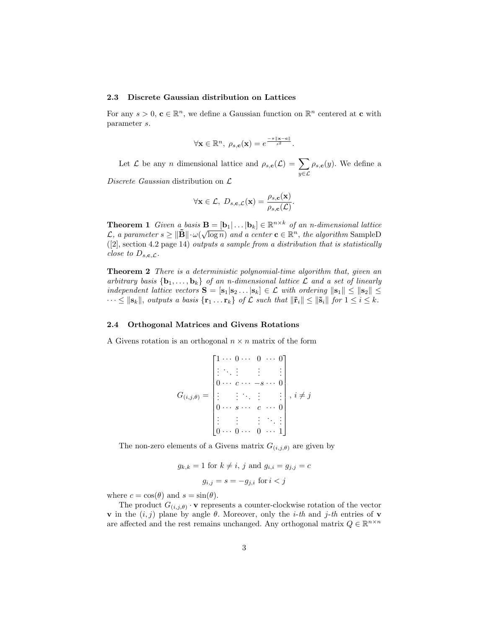#### 2.3 Discrete Gaussian distribution on Lattices

For any  $s > 0$ ,  $c \in \mathbb{R}^n$ , we define a Gaussian function on  $\mathbb{R}^n$  centered at c with parameter s.

$$
\forall \mathbf{x} \in \mathbb{R}^n, \ \rho_{s,c}(\mathbf{x}) = e^{\frac{-\pi ||\mathbf{x}-\mathbf{c}||}{s^2}}.
$$

Let  $\mathcal L$  be any n dimensional lattice and  $\rho_{s,c}(\mathcal L) = \sum_{\alpha}$ y∈L  $\rho_{s,\mathbf{c}}(y)$ . We define a

Discrete Gaussian distribution on  $\mathcal{L}$ 

$$
\forall \mathbf{x} \in \mathcal{L}, \ D_{s,c,\mathcal{L}}(\mathbf{x}) = \frac{\rho_{s,c}(\mathbf{x})}{\rho_{s,c}(\mathcal{L})}.
$$

**Theorem 1** Given a basis  $\mathbf{B} = [\mathbf{b}_1 | \dots | \mathbf{b}_k] \in \mathbb{R}^{n \times k}$  of an n-dimensional lattice  $\mathcal{L}, a \text{ parameter } s \geq \|\mathbf{\tilde{B}}\| \cdot \omega(\sqrt{\log n})$  and a center  $\mathbf{c} \in \mathbb{R}^n$ , the algorithm SampleD ([2], section 4.2 page 14) outputs a sample from a distribution that is statistically close to  $D_{s,c,\mathcal{L}}$ .

Theorem 2 There is a deterministic polynomial-time algorithm that, given an arbitrary basis  $\{b_1, \ldots, b_k\}$  of an n-dimensional lattice  $\mathcal L$  and a set of linearly independent lattice vectors  $S = [s_1|s_2 \dots |s_k] \in \mathcal{L}$  with ordering  $||s_1|| \le ||s_2|| \le$  $\cdots \leq ||\mathbf{s}_k||$ , outputs a basis  $\{\mathbf{r}_1 \dots \mathbf{r}_k\}$  of  $\mathcal L$  such that  $||\tilde{\mathbf{r}}_i|| \leq ||\tilde{\mathbf{s}}_i||$  for  $1 \leq i \leq k$ .

#### 2.4 Orthogonal Matrices and Givens Rotations

A Givens rotation is an orthogonal  $n \times n$  matrix of the form

$$
G_{(i,j,\theta)} = \begin{bmatrix} 1 & \cdots & 0 & \cdots & 0 & \cdots & 0 \\ \vdots & \ddots & \vdots & & \vdots & & \vdots \\ 0 & \cdots & c & \cdots & -s & \cdots & 0 \\ \vdots & & \vdots & \ddots & \vdots & & \vdots \\ 0 & \cdots & s & \cdots & c & \cdots & 0 \\ \vdots & & \vdots & & \vdots & \ddots & \vdots \\ 0 & \cdots & 0 & \cdots & 0 & \cdots & 1 \end{bmatrix}, i \neq j
$$

The non-zero elements of a Givens matrix  $G_{(i,j,\theta)}$  are given by

$$
g_{k,k} = 1 \text{ for } k \neq i, j \text{ and } g_{i,i} = g_{j,j} = c
$$

$$
g_{i,j} = s = -g_{j,i} \text{ for } i < j
$$

where  $c = \cos(\theta)$  and  $s = \sin(\theta)$ .

The product  $G_{(i,j,\theta)} \cdot \mathbf{v}$  represents a counter-clockwise rotation of the vector **v** in the  $(i, j)$  plane by angle  $\theta$ . Moreover, only the *i*-th and *j*-th entries of **v** are affected and the rest remains unchanged. Any orthogonal matrix  $Q \in \mathbb{R}^{n \times n}$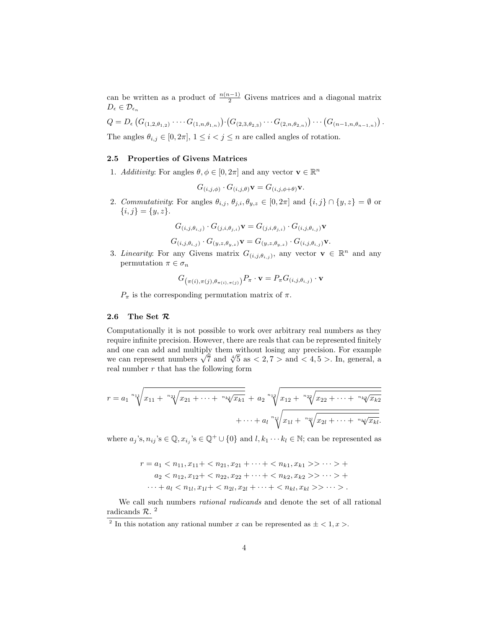can be written as a product of  $\frac{n(n-1)}{2}$  Givens matrices and a diagonal matrix  $D_{\epsilon} \in \mathcal{D}_{\epsilon_n}$ 

$$
Q = D_{\epsilon} (G_{(1,2,\theta_{1,2})} \cdots G_{(1,n,\theta_{1,n})}) \cdot (G_{(2,3,\theta_{2,3})} \cdots G_{(2,n,\theta_{2,n})}) \cdots (G_{(n-1,n,\theta_{n-1,n})}).
$$

The angles  $\theta_{i,j} \in [0, 2\pi], 1 \leq i < j \leq n$  are called angles of rotation.

#### 2.5 Properties of Givens Matrices

1. Additivity: For angles  $\theta, \phi \in [0, 2\pi]$  and any vector  $\mathbf{v} \in \mathbb{R}^n$ 

$$
G_{(i,j,\phi)} \cdot G_{(i,j,\theta)} \mathbf{v} = G_{(i,j,\phi+\theta)} \mathbf{v}.
$$

2. Commutativity: For angles  $\theta_{i,j}$ ,  $\theta_{j,i}$ ,  $\theta_{y,z} \in [0,2\pi]$  and  $\{i,j\} \cap \{y,z\} = \emptyset$  or  $\{i, j\} = \{y, z\}.$ 

$$
G_{(i,j,\theta_{i,j})}\cdot G_{(j,i,\theta_{j,i})}\mathbf{v}=G_{(j,i,\theta_{j,i})}\cdot G_{(i,j,\theta_{i,j})}\mathbf{v}
$$

$$
G_{(i,j,\theta_{i,j})}\cdot G_{(y,z,\theta_{y,z})}\mathbf{v}=G_{(y,z,\theta_{y,z})}\cdot G_{(i,j,\theta_{i,j})}\mathbf{v}.
$$

3. Linearity: For any Givens matrix  $G_{(i,j,\theta_{i,j})}$ , any vector  $\mathbf{v} \in \mathbb{R}^n$  and any permutation  $\pi \in \sigma_n$ 

$$
G_{\left(\pi(i),\pi(j),\theta_{\pi(i),\pi(j)}\right)}P_{\pi}\cdot\mathbf{v}=P_{\pi}G_{\left(i,j,\theta_{i,j}\right)}\cdot\mathbf{v}
$$

 $P_{\pi}$  is the corresponding permutation matrix of  $\pi$ .

#### 2.6 The Set  $\mathcal R$

Computationally it is not possible to work over arbitrary real numbers as they require infinite precision. However, there are reals that can be represented finitely and one can add and multiply them without losing any precision. For example and one can add and multiply them without losing any precision. For example we can represent numbers  $\sqrt{7}$  and  $\sqrt[4]{5}$  as  $\lt 2,7$   $>$  and  $\lt 4,5$   $>$ . In, general, a real number  $r$  that has the following form

$$
r = a_1 \sqrt[n+1]{x_{11} + \sqrt[n+1]{x_{21} + \cdots + \sqrt[n+1]{x_{k1}}}} + a_2 \sqrt[n+1]{x_{12} + \sqrt[n+1]{x_{22} + \cdots + \sqrt[n+1]{x_{k2}}}} + \cdots + a_l \sqrt[n+1]{x_{1l} + \sqrt[n+1]{x_{2l} + \cdots + \sqrt[n+1]{x_{kl}}}}.
$$

where  $a_j$ 's,  $n_{ij}$ 's  $\in \mathbb{Q}$ ,  $x_{i_j}$ 's  $\in \mathbb{Q}^+ \cup \{0\}$  and  $l, k_1 \cdots k_l \in \mathbb{N}$ ; can be represented as

$$
r = a_1 < n_{11}, x_{11} + < n_{21}, x_{21} + \cdots + < n_{k1}, x_{k1} > > \cdots > +
$$
\n
$$
a_2 < n_{12}, x_{12} + < n_{22}, x_{22} + \cdots + < n_{k2}, x_{k2} > > \cdots > +
$$
\n
$$
\cdots + a_l < n_{1l}, x_{1l} + < n_{2l}, x_{2l} + \cdots + < n_{kl}, x_{kl} > > \cdots > .
$$

We call such numbers *rational radicands* and denote the set of all rational radicands  $R$ .<sup>2</sup>

<sup>&</sup>lt;sup>2</sup> In this notation any rational number x can be represented as  $\pm < 1, x >$ .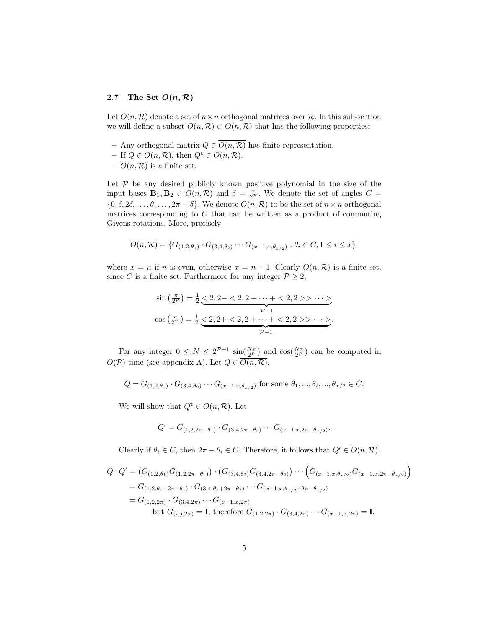# 2.7 The Set  $\overline{O(n,\mathcal{R})}$

Let  $O(n, \mathcal{R})$  denote a set of  $n \times n$  orthogonal matrices over  $\mathcal{R}$ . In this sub-section we will define a subset  $\overline{O(n,\mathcal{R})} \subset O(n,\mathcal{R})$  that has the following properties:

- Any orthogonal matrix  $Q \in \overline{O(n,\mathcal{R})}$  has finite representation.
- If  $Q \in \overline{O(n,\mathcal{R})}$ , then  $Q^{\mathbf{t}} \in \overline{O(n,\mathcal{R})}$ .
- $-\overline{O(n,\mathcal{R})}$  is a finite set.

Let  $P$  be any desired publicly known positive polynomial in the size of the input bases  $\mathbf{B}_1, \mathbf{B}_2 \in O(n, \mathcal{R})$  and  $\delta = \frac{\pi}{2^{\mathcal{P}}}$ . We denote the set of angles  $C =$  $\{0, \delta, 2\delta, \ldots, \theta, \ldots, 2\pi - \delta\}.$  We denote  $\overline{O(n, \mathcal{R})}$  to be the set of  $n \times n$  orthogonal matrices corresponding to  $C$  that can be written as a product of commuting Givens rotations. More, precisely

$$
\overline{O(n,\mathcal{R})} = \{G_{(1,2,\theta_1)} \cdot G_{(3,4,\theta_2)} \cdots G_{(x-1,x,\theta_{x/2})} : \theta_i \in C, 1 \leq i \leq x\}.
$$

where  $x = n$  if n is even, otherwise  $x = n - 1$ . Clearly  $\overline{O(n, \mathcal{R})}$  is a finite set, since C is a finite set. Furthermore for any integer  $P \geq 2$ ,

$$
\sin\left(\frac{\pi}{2^p}\right) = \frac{1}{2} \underbrace{<2, 2-<2, 2+\cdots+<2, 2>}\xrightarrow{p-1}
$$
\n
$$
\cos\left(\frac{\pi}{2^p}\right) = \frac{1}{2} \underbrace{<2, 2+<2, 2+\cdots+<2, 2>}\xrightarrow{p-1}.
$$

For any integer  $0 \le N \le 2^{\mathcal{P}+1} \sin(\frac{N\pi}{2^{\mathcal{P}}})$  and  $\cos(\frac{N\pi}{2^{\mathcal{P}}})$  can be computed in  $O(\mathcal{P})$  time (see appendix A). Let  $Q \in \overline{O(n,\mathcal{R})}$ ,

$$
Q = G_{(1,2,\theta_1)} \cdot G_{(3,4,\theta_2)} \cdots G_{(x-1,x,\theta_{x/2})} \text{ for some } \theta_1, ..., \theta_i, ..., \theta_{x/2} \in C.
$$

We will show that  $Q^{\mathbf{t}} \in \overline{O(n,\mathcal{R})}$ . Let

$$
Q' = G_{(1,2,2\pi-\theta_1)} \cdot G_{(3,4,2\pi-\theta_2)} \cdots G_{(x-1,x,2\pi-\theta_{x/2})}.
$$

Clearly if  $\theta_i \in C$ , then  $2\pi - \theta_i \in C$ . Therefore, it follows that  $Q' \in \overline{O(n, \mathcal{R})}$ .

$$
Q \cdot Q' = (G_{(1,2,\theta_1)} G_{(1,2,2\pi-\theta_1)}) \cdot (G_{(3,4,\theta_2)} G_{(3,4,2\pi-\theta_2)}) \cdots (G_{(x-1,x,\theta_{x/2})} G_{(x-1,x,2\pi-\theta_{x/2})})
$$
  
=  $G_{(1,2,\theta_1+2\pi-\theta_1)} \cdot G_{(3,4,\theta_2+2\pi-\theta_2)} \cdots G_{(x-1,x,\theta_{x/2}+2\pi-\theta_{x/2})}$   
=  $G_{(1,2,2\pi)} \cdot G_{(3,4,2\pi)} \cdots G_{(x-1,x,2\pi)}$   
but  $G_{(i,j,2\pi)} = \mathbf{I}$ , therefore  $G_{(1,2,2\pi)} \cdot G_{(3,4,2\pi)} \cdots G_{(x-1,x,2\pi)} = \mathbf{I}$ .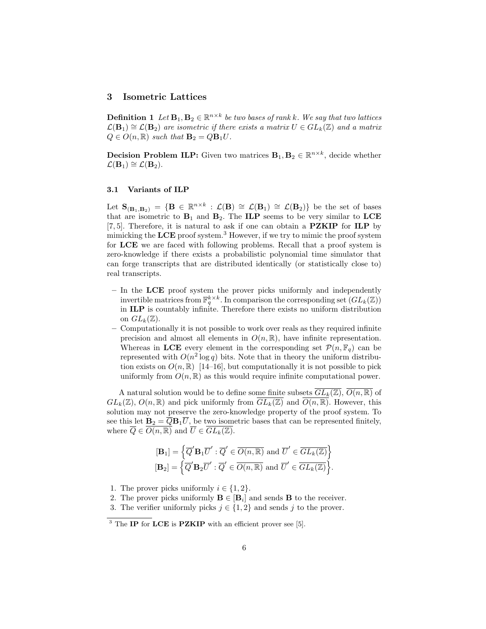### 3 Isometric Lattices

**Definition 1** Let  $\mathbf{B}_1, \mathbf{B}_2 \in \mathbb{R}^{n \times k}$  be two bases of rank k. We say that two lattices  $\mathcal{L}(\mathbf{B}_1) \cong \mathcal{L}(\mathbf{B}_2)$  are isometric if there exists a matrix  $U \in GL_k(\mathbb{Z})$  and a matrix  $Q \in O(n,\mathbb{R})$  such that  $\mathbf{B}_2 = Q\mathbf{B}_1U$ .

**Decision Problem ILP:** Given two matrices  $\mathbf{B}_1, \mathbf{B}_2 \in \mathbb{R}^{n \times k}$ , decide whether  $\mathcal{L}(\mathbf{B}_1) \cong \mathcal{L}(\mathbf{B}_2).$ 

#### 3.1 Variants of ILP

Let  $\mathbf{S}_{(\mathbf{B}_1,\mathbf{B}_2)} = \{ \mathbf{B} \in \mathbb{R}^{n \times k} : \mathcal{L}(\mathbf{B}) \cong \mathcal{L}(\mathbf{B}_1) \cong \mathcal{L}(\mathbf{B}_2) \}$  be the set of bases that are isometric to  $B_1$  and  $B_2$ . The ILP seems to be very similar to LCE [7, 5]. Therefore, it is natural to ask if one can obtain a **PZKIP** for **ILP** by mimicking the  $LCE$  proof system.<sup>3</sup> However, if we try to mimic the proof system for LCE we are faced with following problems. Recall that a proof system is zero-knowledge if there exists a probabilistic polynomial time simulator that can forge transcripts that are distributed identically (or statistically close to) real transcripts.

- In the LCE proof system the prover picks uniformly and independently invertible matrices from  $\mathbb{F}_q^{k \times k}$ . In comparison the corresponding set  $(\widehat{GL}_k(\mathbb{Z}))$ in ILP is countably infinite. Therefore there exists no uniform distribution on  $GL_k(\mathbb{Z})$ .
- Computationally it is not possible to work over reals as they required infinite precision and almost all elements in  $O(n, \mathbb{R})$ , have infinite representation. Whereas in LCE every element in the corresponding set  $\mathcal{P}(n, \mathbb{F}_q)$  can be represented with  $O(n^2 \log q)$  bits. Note that in theory the uniform distribution exists on  $O(n, \mathbb{R})$  [14–16], but computationally it is not possible to pick uniformly from  $O(n, \mathbb{R})$  as this would require infinite computational power.

A natural solution would be to define some finite subsets  $\overline{GL_k(\mathbb{Z})}, \overline{O(n,\mathbb{R})}$  of  $GL_k(\mathbb{Z})$ ,  $O(n,\mathbb{R})$  and pick uniformly from  $GL_k(\mathbb{Z})$  and  $O(n,\mathbb{R})$ . However, this solution may not preserve the zero-knowledge property of the proof system. To see this let  $\mathbf{B}_2 = \overline{Q} \mathbf{B}_1 \overline{U}$ , be two isometric bases that can be represented finitely, where  $\overline{Q} \in O(n,\mathbb{R})$  and  $\overline{U} \in GL_k(\mathbb{Z})$ .

$$
\begin{aligned}\n[\mathbf{B}_1] &= \left\{ \overline{Q}' \mathbf{B}_1 \overline{U}' : \overline{Q}' \in \overline{O(n, \mathbb{R})} \text{ and } \overline{U}' \in \overline{GL_k(\mathbb{Z})} \right\} \\
[\mathbf{B}_2] &= \left\{ \overline{Q}' \mathbf{B}_2 \overline{U}' : \overline{Q}' \in \overline{O(n, \mathbb{R})} \text{ and } \overline{U}' \in \overline{GL_k(\mathbb{Z})} \right\}.\n\end{aligned}
$$

1. The prover picks uniformly  $i \in \{1,2\}$ .

<sup>2.</sup> The prover picks uniformly  $\mathbf{B} \in [\mathbf{B}_i]$  and sends **B** to the receiver.

<sup>3.</sup> The verifier uniformly picks  $j \in \{1,2\}$  and sends j to the prover.

 $3$  The IP for LCE is PZKIP with an efficient prover see [5].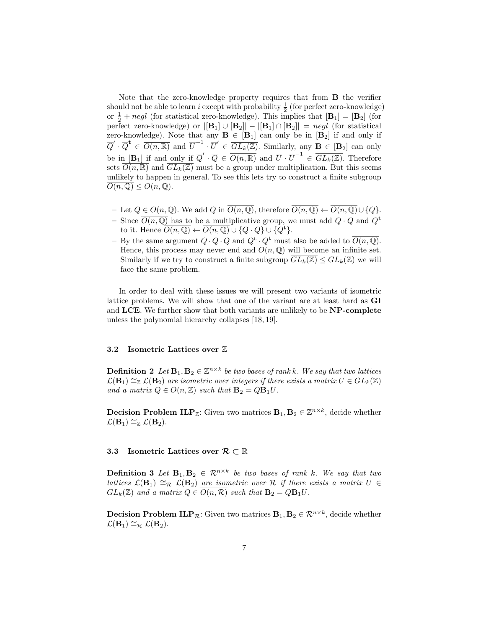Note that the zero-knowledge property requires that from B the verifier should not be able to learn *i* except with probability  $\frac{1}{2}$  (for perfect zero-knowledge) or  $\frac{1}{2} + negl$  (for statistical zero-knowledge). This implies that  $[\mathbf{B}_1] = [\mathbf{B}_2]$  (for perfect zero-knowledge) or  $|[B_1] \cup [B_2]| - |[B_1] \cap [B_2]| = negl$  (for statistical zero-knowledge). Note that any  $B \in [B_1]$  can only be in  $[B_2]$  if and only if  $\overline{Q}' \cdot \overline{Q}^{\mathbf{t}} \in \overline{O(n,\mathbb{R})}$  and  $\overline{U}^{-1} \cdot \overline{U}' \in \overline{GL_k(\mathbb{Z})}$ . Similarly, any  $\mathbf{B} \in [\mathbf{B}_2]$  can only be in  $[\mathbf{B}_1]$  if and only if  $\overline{Q}' \cdot \overline{Q} \in \overline{O(n,\mathbb{R})}$  and  $\overline{U} \cdot \overline{U}^{-1} \in \overline{GL_k(\mathbb{Z})}$ . Therefore sets  $\overline{O(n,\mathbb{R})}$  and  $GL_k(\mathbb{Z})$  must be a group under multiplication. But this seems unlikely to happen in general. To see this lets try to construct a finite subgroup  $O(n,\mathbb{Q}) \leq O(n,\mathbb{Q}).$ 

- Let  $Q \in O(n, \mathbb{Q})$ . We add  $Q$  in  $\overline{O(n, \mathbb{Q})}$ , therefore  $\overline{O(n, \mathbb{Q})}$  ←  $\overline{O(n, \mathbb{Q})} \cup \{Q\}$ .
- Since  $O(n, \mathbb{Q})$  has to be a multiplicative group, we must add  $Q \cdot Q$  and  $Q^{\mathbf{t}}$ to it. Hence  $O(n, \mathbb{Q}) \leftarrow O(n, \mathbb{Q}) \cup \{Q \cdot Q\} \cup \{Q^{\mathbf{t}}\}.$
- By the same argument  $Q \cdot Q \cdot Q$  and  $Q^{\mathbf{t}} \cdot Q^{\mathbf{t}}$  must also be added to  $\overline{O(n,\mathbb{Q})}$ . Hence, this process may never end and  $\overline{O(n,\mathbb{Q})}$  will become an infinite set. Similarly if we try to construct a finite subgroup  $GL_k(\mathbb{Z}) \leq GL_k(\mathbb{Z})$  we will face the same problem.

In order to deal with these issues we will present two variants of isometric lattice problems. We will show that one of the variant are at least hard as GI and LCE. We further show that both variants are unlikely to be NP-complete unless the polynomial hierarchy collapses [18, 19].

# 3.2 Isometric Lattices over Z

**Definition 2** Let  $\mathbf{B}_1, \mathbf{B}_2 \in \mathbb{Z}^{n \times k}$  be two bases of rank k. We say that two lattices  $\mathcal{L}(\mathbf{B}_1) \cong_{\mathbb{Z}} \mathcal{L}(\mathbf{B}_2)$  are isometric over integers if there exists a matrix  $U \in GL_k(\mathbb{Z})$ and a matrix  $Q \in O(n,\mathbb{Z})$  such that  $\mathbf{B}_2 = Q\mathbf{B}_1 U$ .

**Decision Problem ILP**<sub> $\mathbb{Z}$ </sub>: Given two matrices  $\mathbf{B}_1, \mathbf{B}_2 \in \mathbb{Z}^{n \times k}$ , decide whether  $\mathcal{L}(\mathbf{B}_1) \cong_{\mathbb{Z}} \mathcal{L}(\mathbf{B}_2).$ 

### 3.3 Isometric Lattices over  $\mathcal{R} \subset \mathbb{R}$

**Definition 3** Let  $B_1, B_2 \in \mathbb{R}^{n \times k}$  be two bases of rank k. We say that two lattices  $\mathcal{L}(\mathbf{B}_1) \cong_{\mathcal{R}} \mathcal{L}(\mathbf{B}_2)$  are isometric over  $\mathcal{R}$  if there exists a matrix  $U \in$  $GL_k(\mathbb{Z})$  and a matrix  $Q \in O(n, \mathcal{R})$  such that  $\mathbf{B}_2 = Q \mathbf{B}_1 U$ .

**Decision Problem ILP**<sub>R</sub>: Given two matrices  $B_1, B_2 \in \mathbb{R}^{n \times k}$ , decide whether  $\mathcal{L}(\mathbf{B}_1) \cong_{\mathcal{R}} \mathcal{L}(\mathbf{B}_2).$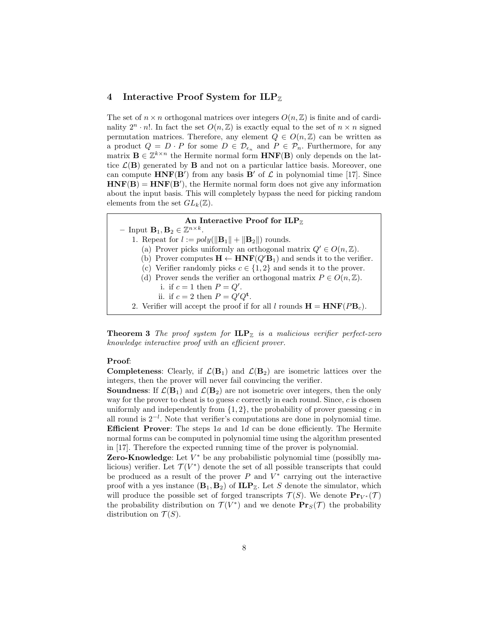### 4 Interactive Proof System for  $ILP_{\mathbb{Z}}$

The set of  $n \times n$  orthogonal matrices over integers  $O(n, \mathbb{Z})$  is finite and of cardinality  $2^n \cdot n!$ . In fact the set  $O(n,\mathbb{Z})$  is exactly equal to the set of  $n \times n$  signed permutation matrices. Therefore, any element  $Q \in O(n,\mathbb{Z})$  can be written as a product  $Q = D \cdot P$  for some  $D \in \mathcal{D}_{\epsilon_n}$  and  $P \in \mathcal{P}_n$ . Furthermore, for any matrix  $\mathbf{B} \in \mathbb{Z}^{k \times n}$  the Hermite normal form  $HNF(\mathbf{B})$  only depends on the lattice  $\mathcal{L}(\mathbf{B})$  generated by **B** and not on a particular lattice basis. Moreover, one can compute  $HNF(B')$  from any basis B' of  $\mathcal L$  in polynomial time [17]. Since  $HNF(B) = HNF(B')$ , the Hermite normal form does not give any information about the input basis. This will completely bypass the need for picking random elements from the set  $GL_k(\mathbb{Z})$ .

#### An Interactive Proof for  $\mathbf{ILP}_{\mathbb{Z}}$

- Input  $\mathbf{B}_1, \mathbf{B}_2 \in \mathbb{Z}^{n \times k}$ .
- 1. Repeat for  $l := poly(||\mathbf{B}_1|| + ||\mathbf{B}_2||)$  rounds.
	- (a) Prover picks uniformly an orthogonal matrix  $Q' \in O(n, \mathbb{Z})$ .
	- (b) Prover computes  $\mathbf{H} \leftarrow \text{HNF}(Q'\mathbf{B}_1)$  and sends it to the verifier.
	- (c) Verifier randomly picks  $c \in \{1, 2\}$  and sends it to the prover.
	- (d) Prover sends the verifier an orthogonal matrix  $P \in O(n, \mathbb{Z})$ .
		- i. if  $c = 1$  then  $P = Q'$ .
		- ii. if  $c = 2$  then  $P = Q'Q^{\mathbf{t}}$ .
	- 2. Verifier will accept the proof if for all l rounds  $\mathbf{H} = \mathbf{HNF}(P\mathbf{B}_c)$ .

**Theorem 3** The proof system for  $\mathbf{ILP}_{\mathbb{Z}}$  is a malicious verifier perfect-zero knowledge interactive proof with an efficient prover.

#### Proof:

**Completeness:** Clearly, if  $\mathcal{L}(\mathbf{B}_1)$  and  $\mathcal{L}(\mathbf{B}_2)$  are isometric lattices over the integers, then the prover will never fail convincing the verifier.

**Soundness:** If  $\mathcal{L}(\mathbf{B}_1)$  and  $\mathcal{L}(\mathbf{B}_2)$  are not isometric over integers, then the only way for the prover to cheat is to guess c correctly in each round. Since,  $c$  is chosen uniformly and independently from  $\{1, 2\}$ , the probability of prover guessing c in all round is 2<sup>−</sup><sup>l</sup> . Note that verifier's computations are done in polynomial time. **Efficient Prover:** The steps 1a and 1d can be done efficiently. The Hermite normal forms can be computed in polynomial time using the algorithm presented in [17]. Therefore the expected running time of the prover is polynomial.

**Zero-Knowledge**: Let  $V^*$  be any probabilistic polynomial time (possiblly malicious) verifier. Let  $\mathcal{T}(V^*)$  denote the set of all possible transcripts that could be produced as a result of the prover  $P$  and  $V^*$  carrying out the interactive proof with a yes instance  $(\mathbf{B}_1, \mathbf{B}_2)$  of  $\mathbf{ILP}_{\mathbb{Z}}$ . Let S denote the simulator, which will produce the possible set of forged transcripts  $\mathcal{T}(S)$ . We denote  $\mathbf{Pr}_{V^*}(\mathcal{T})$ the probability distribution on  $\mathcal{T}(V^*)$  and we denote  $\mathbf{Pr}_S(\mathcal{T})$  the probability distribution on  $\mathcal{T}(S)$ .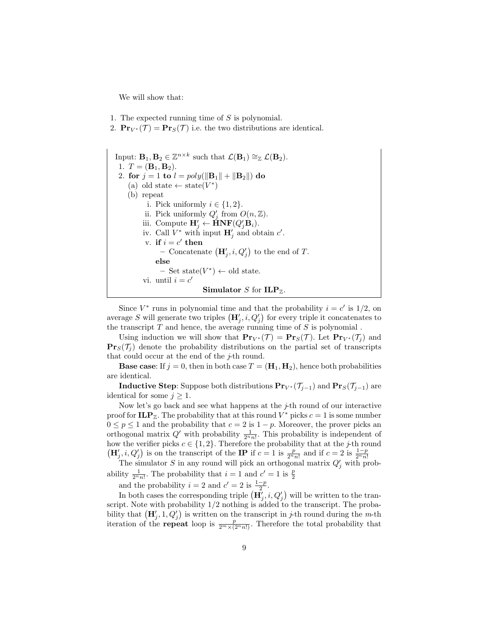We will show that:

- 1. The expected running time of  $S$  is polynomial.
- 2.  $\mathbf{Pr}_{V^*}(\mathcal{T}) = \mathbf{Pr}_S(\mathcal{T})$  i.e. the two distributions are identical.

| Input: $\mathbf{B}_1, \mathbf{B}_2 \in \mathbb{Z}^{n \times k}$ such that $\mathcal{L}(\mathbf{B}_1) \cong_{\mathbb{Z}} \mathcal{L}(\mathbf{B}_2)$ . |
|------------------------------------------------------------------------------------------------------------------------------------------------------|
| 1. $T = (\mathbf{B}_1, \mathbf{B}_2).$                                                                                                               |
| 2. for $j = 1$ to $l = poly(  {\bf B}_1   +   {\bf B}_2  )$ do                                                                                       |
| (a) old state $\leftarrow$ state( $V^*$ )                                                                                                            |
| (b) repeat                                                                                                                                           |
| i. Pick uniformly $i \in \{1,2\}$ .                                                                                                                  |
| ii. Pick uniformly $Q'_i$ from $O(n,\mathbb{Z})$ .                                                                                                   |
| iii. Compute $\mathbf{H}'_i \leftarrow \dot{\mathbf{H}} \mathbf{N} \mathbf{F}(Q'_i \mathbf{B}_i)$ .                                                  |
| iv. Call $V^*$ with input $\mathbf{H}'_i$ and obtain $c'$ .                                                                                          |
| v. if $i = c'$ then                                                                                                                                  |
| - Concatenate $(\mathbf{H}'_i, i, Q'_i)$ to the end of T.                                                                                            |
| else                                                                                                                                                 |
| $-$ Set state( $V^*$ ) $\leftarrow$ old state.                                                                                                       |
| vi. until $i = c'$                                                                                                                                   |
| <b>Simulator</b> S for $\mathbf{ILP}_{\mathbb{Z}}$ .                                                                                                 |

Since  $V^*$  runs in polynomial time and that the probability  $i = c'$  is  $1/2$ , on average S will generate two triples  $(\mathbf{H}'_j, i, Q'_j)$  for every triple it concatenates to the transcript  $T$  and hence, the average running time of  $S$  is polynomial.

Using induction we will show that  $\mathbf{Pr}_{V^*}(\mathcal{T}) = \mathbf{Pr}_S(\mathcal{T})$ . Let  $\mathbf{Pr}_{V^*}(\mathcal{T}_i)$  and  $\mathbf{Pr}_S(\mathcal{T}_i)$  denote the probability distributions on the partial set of transcripts that could occur at the end of the  $j$ -th round.

**Base case:** If  $j = 0$ , then in both case  $T = (\mathbf{H}_1, \mathbf{H}_2)$ , hence both probabilities are identical.

**Inductive Step:** Suppose both distributions  $\mathbf{Pr}_{V^*}(\mathcal{T}_{j-1})$  and  $\mathbf{Pr}_{S}(\mathcal{T}_{j-1})$  are identical for some  $j \geq 1$ .

Now let's go back and see what happens at the  $j$ -th round of our interactive proof for  $\mathbf{ILP}_{\mathbb{Z}}$ . The probability that at this round  $V^*$  picks  $c = 1$  is some number  $0 \le p \le 1$  and the probability that  $c = 2$  is  $1 - p$ . Moreover, the prover picks an orthogonal matrix  $Q'$  with probability  $\frac{1}{2^n n!}$ . This probability is independent of how the verifier picks  $c \in \{1, 2\}$ . Therefore the probability that at the *j*-th round

 $(\mathbf{H}'_j, i, Q'_j)$  is on the transcript of the **IP** if  $c = 1$  is  $\frac{p}{2^n n!}$  and if  $c = 2$  is  $\frac{1-p}{2^n n!}$ <br>The simulator S in any round will pick an orthogonal matrix  $Q'_j$  with probability  $\frac{1}{2^n n!}$ . The probability that  $i = 1$  and  $c' = 1$  is  $\frac{p}{2}$ 

and the probability  $i = 2$  and  $c' = 2$  is  $\frac{1-p}{2}$ .

In both cases the corresponding triple  $(\mathbf{H}'_j, i, Q'_j)$  will be written to the transcript. Note with probability 1/2 nothing is added to the transcript. The probability that  $(\mathbf{H}'_j, 1, Q'_j)$  is written on the transcript in j-th round during the m-th iteration of the **repeat** loop is  $\frac{p}{2^m \times (2^n n!)}$ . Therefore the total probability that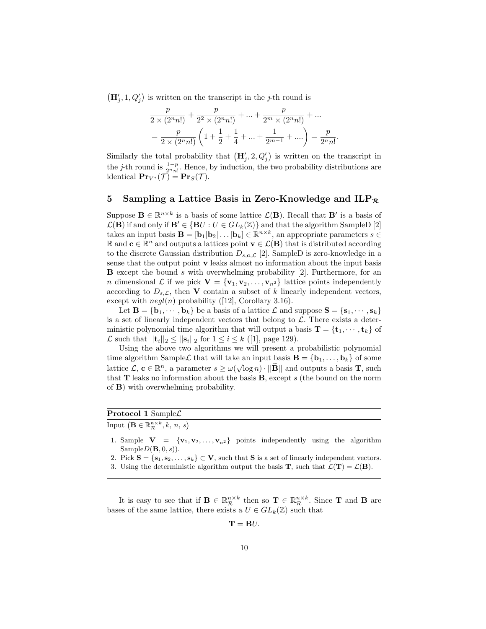$(\mathbf{H}'_j, 1, Q'_j)$  is written on the transcript in the *j*-th round is

$$
\frac{p}{2 \times (2^n n!)} + \frac{p}{2^2 \times (2^n n!)} + \dots + \frac{p}{2^m \times (2^n n!)} + \dots
$$
  
= 
$$
\frac{p}{2 \times (2^n n!)} \left( 1 + \frac{1}{2} + \frac{1}{4} + \dots + \frac{1}{2^{m-1}} + \dots \right) = \frac{p}{2^n n!}.
$$

Similarly the total probability that  $(\mathbf{H}'_j, 2, Q'_j)$  is written on the transcript in the *j*-th round is  $\frac{1-p}{2^n n!}$ . Hence, by induction, the two probability distributions are identical  $\mathbf{Pr}_{V^*}(\mathcal{T}) = \mathbf{Pr}_S(\mathcal{T}).$ 

### 5 Sampling a Lattice Basis in Zero-Knowledge and  $ILP_R$

Suppose  $\mathbf{B} \in \mathbb{R}^{n \times k}$  is a basis of some lattice  $\mathcal{L}(\mathbf{B})$ . Recall that  $\mathbf{B}'$  is a basis of  $\mathcal{L}(\mathbf{B})$  if and only if  $\mathbf{B}' \in \{ \mathbf{B}U : U \in GL_k(\mathbb{Z}) \}$  and that the algorithm SampleD [2] takes an input basis  $\mathbf{B} = [\mathbf{b}_1 | \mathbf{b}_2 | \dots | \mathbf{b}_k] \in \mathbb{R}^{n \times k}$ , an appropriate parameters  $s \in$ R and **c** ∈  $\mathbb{R}^n$  and outputs a lattices point **v** ∈  $\mathcal{L}(\mathbf{B})$  that is distributed according to the discrete Gaussian distribution  $D_{s,c,\mathcal{L}}$  [2]. SampleD is zero-knowledge in a sense that the output point v leaks almost no information about the input basis **B** except the bound s with overwhelming probability  $[2]$ . Furthermore, for an n dimensional L if we pick  $\mathbf{V} = {\mathbf{v}_1, \mathbf{v}_2, \dots, \mathbf{v}_{n^2}}$  lattice points independently according to  $D_{s,\mathcal{L}}$ , then **V** contain a subset of k linearly independent vectors, except with  $negl(n)$  probability ([12], Corollary 3.16).

Let  $\mathbf{B} = {\mathbf{b}_1, \cdots, \mathbf{b}_k}$  be a basis of a lattice  $\mathcal{L}$  and suppose  $\mathbf{S} = {\mathbf{s}_1, \cdots, \mathbf{s}_k}$ is a set of linearly independent vectors that belong to  $\mathcal{L}$ . There exists a deterministic polynomial time algorithm that will output a basis  $\mathbf{T} = {\mathbf{t}_1, \cdots, \mathbf{t}_k}$  of  $\mathcal L$  such that  $||{\bf t}_i||_2 \le ||{\bf s}_i||_2$  for  $1 \le i \le k$  ([1], page 129).

Using the above two algorithms we will present a probabilistic polynomial time algorithm SampleL that will take an input basis  $\mathbf{B} = {\mathbf{b}_1, \dots, \mathbf{b}_k}$  of some lattice  $\mathcal{L}, \mathbf{c} \in \mathbb{R}^n$ , a parameter  $s \ge \omega(\sqrt{\log n}) \cdot ||\widetilde{\mathbf{B}}||$  and outputs a basis **T**, such that  **leaks no information about the basis**  $**B**$ **, except s (the bound on the norm** of B) with overwhelming probability.

# Protocol 1 Sample $\mathcal L$

Input  $\left(\mathbf{B} \in \mathbb{R}_{\mathcal{R}}^{n \times k}, k, n, s\right)$ 

- 1. Sample  $V = \{v_1, v_2, \ldots, v_{n^2}\}$  points independently using the algorithm  $SampleD(\mathbf{B}, 0, s)$ .
- 2. Pick  $S = \{s_1, s_2, \ldots, s_k\} \subset V$ , such that S is a set of linearly independent vectors.
- 3. Using the deterministic algorithm output the basis **T**, such that  $\mathcal{L}(\mathbf{T}) = \mathcal{L}(\mathbf{B})$ .

It is easy to see that if  $\mathbf{B} \in \mathbb{R}_{\mathcal{R}}^{n \times k}$  then so  $\mathbf{T} \in \mathbb{R}_{\mathcal{R}}^{n \times k}$ . Since **T** and **B** are bases of the same lattice, there exists a  $U \in GL_k(\mathbb{Z})$  such that

 $\mathbf{T} = \mathbf{B}U.$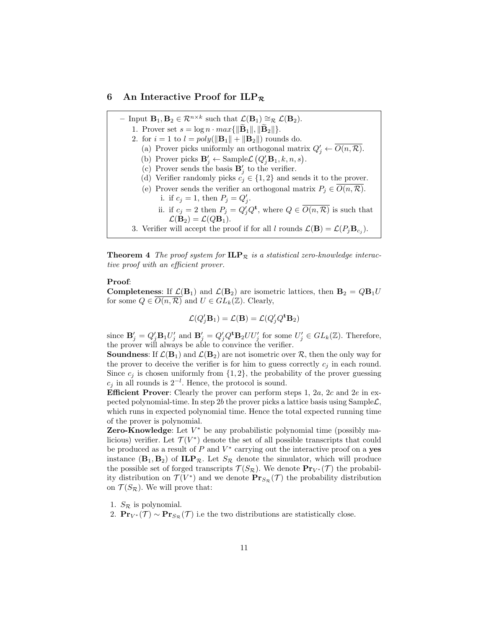#### 6 An Interactive Proof for  $ILP_R$

- Input  $\mathbf{B}_1, \mathbf{B}_2 \in \mathcal{R}^{n \times k}$  such that  $\mathcal{L}(\mathbf{B}_1) \cong_{\mathcal{R}} \mathcal{L}(\mathbf{B}_2)$ .
	- 1. Prover set  $s = \log n \cdot max\{||\mathbf{B}_1||, ||\mathbf{B}_2||\}.$
	- 2. for  $i = 1$  to  $l = poly(||{\bf B}_1|| + ||{\bf B}_2||)$  rounds do.
		- (a) Prover picks uniformly an orthogonal matrix  $Q'_j \leftarrow \overline{O(n, \mathcal{R})}$ .
		- (b) Prover picks  $\mathbf{B}'_j \leftarrow \text{SampleL}(Q'_j \mathbf{B}_1, k, n, s)$ .
		- (c) Prover sends the basis  $\mathbf{B}'_j$  to the verifier.
		- (d) Verifier randomly picks  $c_j \in \{1,2\}$  and sends it to the prover.
		- (e) Prover sends the verifier an orthogonal matrix  $P_j \in O(n, \mathcal{R})$ . i. if  $c_j = 1$ , then  $P_j = Q'_j$ .
			- ii. if  $c_j = 2$  then  $P_j = Q'_j Q^{\mathbf{t}}$ , where  $Q \in \overline{O(n, \mathcal{R})}$  is such that  $\mathcal{L}(\mathbf{B}_2) = \mathcal{L}(Q\mathbf{B}_1).$
	- 3. Verifier will accept the proof if for all l rounds  $\mathcal{L}(\mathbf{B}) = \mathcal{L}(P_j \mathbf{B}_{c_j}).$

**Theorem 4** The proof system for  $\mathbf{ILP}_{\mathcal{R}}$  is a statistical zero-knowledge interactive proof with an efficient prover.

#### Proof:

**Completeness:** If  $\mathcal{L}(\mathbf{B}_1)$  and  $\mathcal{L}(\mathbf{B}_2)$  are isometric lattices, then  $\mathbf{B}_2 = Q\mathbf{B}_1U$ for some  $Q \in O(n, \mathcal{R})$  and  $U \in GL_k(\mathbb{Z})$ . Clearly,

$$
\mathcal{L}(Q'_j \mathbf{B}_1) = \mathcal{L}(\mathbf{B}) = \mathcal{L}(Q'_j Q^{\mathbf{t}} \mathbf{B}_2)
$$

since  $\mathbf{B}'_j = Q'_j \mathbf{B}_1 U'_j$  and  $\mathbf{B}'_j = Q'_j Q^t \mathbf{B}_2 U U'_j$  for some  $U'_j \in GL_k(\mathbb{Z})$ . Therefore, the prover will always be able to convince the verifier.

**Soundness:** If  $\mathcal{L}(\mathbf{B}_1)$  and  $\mathcal{L}(\mathbf{B}_2)$  are not isometric over  $\mathcal{R}$ , then the only way for the prover to deceive the verifier is for him to guess correctly  $c_i$  in each round. Since  $c_i$  is chosen uniformly from  $\{1, 2\}$ , the probability of the prover guessing  $c_j$  in all rounds is  $2^{-l}$ . Hence, the protocol is sound.

**Efficient Prover:** Clearly the prover can perform steps 1, 2a, 2c and 2e in expected polynomial-time. In step 2b the prover picks a lattice basis using Sample  $\mathcal{L}$ , which runs in expected polynomial time. Hence the total expected running time of the prover is polynomial.

**Zero-Knowledge**: Let  $V^*$  be any probabilistic polynomial time (possibly malicious) verifier. Let  $\mathcal{T}(V^*)$  denote the set of all possible transcripts that could be produced as a result of  $P$  and  $V^*$  carrying out the interactive proof on a **yes** instance  $(\mathbf{B}_1, \mathbf{B}_2)$  of  $\mathbf{ILP}_{\mathcal{R}}$ . Let  $S_{\mathcal{R}}$  denote the simulator, which will produce the possible set of forged transcripts  $\mathcal{T}(S_{\mathcal{R}})$ . We denote  $\mathbf{Pr}_{V^*}(\mathcal{T})$  the probability distribution on  $\mathcal{T}(V^*)$  and we denote  $\mathbf{Pr}_{S_{\mathcal{R}}}(\mathcal{T})$  the probability distribution on  $\mathcal{T}(S_{\mathcal{R}})$ . We will prove that:

- 1.  $S_{\mathcal{R}}$  is polynomial.
- 2.  $\mathbf{Pr}_{V^*}(\mathcal{T}) \sim \mathbf{Pr}_{S_{\mathcal{R}}}(\mathcal{T})$  i.e the two distributions are statistically close.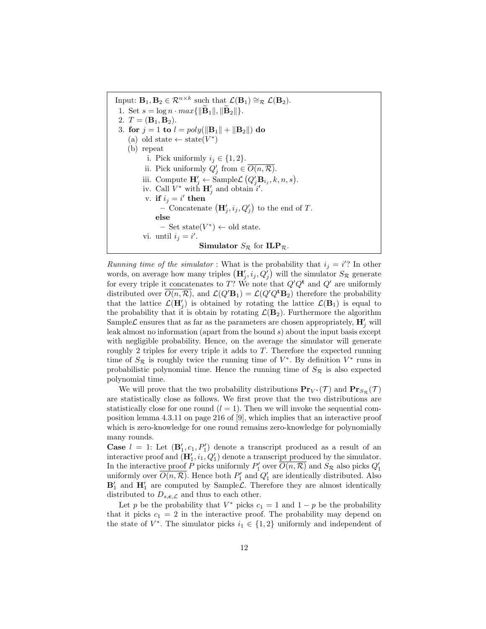Input:  $\mathbf{B}_1, \mathbf{B}_2 \in \mathcal{R}^{n \times k}$  such that  $\mathcal{L}(\mathbf{B}_1) \cong_{\mathcal{R}} \mathcal{L}(\mathbf{B}_2)$ . 1. Set  $s = \log n \cdot max{\{\Vert \mathbf{B}_1 \Vert, \Vert \mathbf{B}_2 \Vert\}}$ . 2.  $T = (\mathbf{B}_1, \mathbf{B}_2).$ 3. for  $j = 1$  to  $l = poly(||\mathbf{B}_1|| + ||\mathbf{B}_2||)$  do (a) old state  $\leftarrow$  state( $V^*$ ) (b) repeat i. Pick uniformly  $i_j \in \{1,2\}$ . ii. Pick uniformly  $Q'_j$  from  $\in \overline{O(n,\mathcal{R})}$ . iii. Compute  $\mathbf{H}'_j \leftarrow \text{SampleL}(Q'_j \mathbf{B}_{i_j}, k, n, s)$ . iv. Call  $V^*$  with  $\mathbf{H}'_j$  and obtain i'. v. if  $i_j = i'$  then - Concatenate  $(\mathbf{H}'_j, i_j, Q'_j)$  to the end of T. else  $-$  Set state( $V^*$ )  $\leftarrow$  old state. vi. until  $i_j = i'$ . **Simulator**  $S_{\mathcal{R}}$  for  $\mathbf{ILP}_{\mathcal{R}}$ .

Running time of the simulator: What is the probability that  $i_j = i$ ? In other words, on average how many triples  $(\mathbf{H}'_j, i_j, Q'_j)$  will the simulator  $S_{\mathcal{R}}$  generate for every triple it concatenates to T? We note that  $Q'Q^t$  and  $Q'$  are uniformly distributed over  $O(n, \mathcal{R})$ , and  $\mathcal{L}(Q'\mathbf{B}_1) = \mathcal{L}(Q'Q^{\mathbf{t}}\mathbf{B}_2)$  therefore the probability that the lattice  $\mathcal{L}(\mathbf{H}'_j)$  is obtained by rotating the lattice  $\mathcal{L}(\mathbf{B}_1)$  is equal to the probability that it is obtain by rotating  $\mathcal{L}(\mathbf{B}_2)$ . Furthermore the algorithm Sample $\mathcal L$  ensures that as far as the parameters are chosen appropriately,  $\mathbf H'_j$  will leak almost no information (apart from the bound s) about the input basis except with negligible probability. Hence, on the average the simulator will generate roughly 2 triples for every triple it adds to T. Therefore the expected running time of  $S_{\mathcal{R}}$  is roughly twice the running time of  $V^*$ . By definition  $V^*$  runs in probabilistic polynomial time. Hence the running time of  $S_{\mathcal{R}}$  is also expected polynomial time.

We will prove that the two probability distributions  $\Pr_{V^*}(\mathcal{T})$  and  $\Pr_{S_{\mathcal{P}}}(\mathcal{T})$ are statistically close as follows. We first prove that the two distributions are statistically close for one round  $(l = 1)$ . Then we will invoke the sequential composition lemma 4.3.11 on page 216 of [9], which implies that an interactive proof which is zero-knowledge for one round remains zero-knowledge for polynomially many rounds.

**Case**  $l = 1$ : Let  $(\mathbf{B}'_1, c_1, P'_1)$  denote a transcript produced as a result of an interactive proof and  $(\mathbf{H}'_1, i_1, Q'_1)$  denote a transcript produced by the simulator. In the interactive proof P picks uniformly  $P'_1$  over  $\overline{O(n,\mathcal{R})}$  and  $S_{\mathcal{R}}$  also picks  $Q'_1$ uniformly over  $\overline{O(n,\mathcal{R})}$ . Hence both  $P'_1$  and  $Q'_1$  are identically distributed. Also  $\mathbf{B}'_1$  and  $\mathbf{H}'_1$  are computed by Sample  $\mathcal{L}$ . Therefore they are almost identically distributed to  $D_{s,c,\mathcal{L}}$  and thus to each other.

Let p be the probability that  $V^*$  picks  $c_1 = 1$  and  $1 - p$  be the probability that it picks  $c_1 = 2$  in the interactive proof. The probability may depend on the state of  $V^*$ . The simulator picks  $i_1 \in \{1,2\}$  uniformly and independent of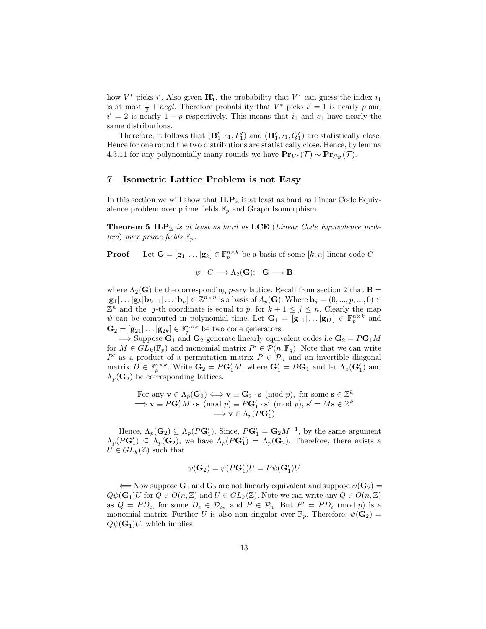how  $V^*$  picks i'. Also given  $\mathbf{H}'_1$ , the probability that  $V^*$  can guess the index  $i_1$ is at most  $\frac{1}{2} + negl$ . Therefore probability that  $V^*$  picks  $i' = 1$  is nearly p and  $i' = 2$  is nearly  $1 - p$  respectively. This means that  $i_1$  and  $c_1$  have nearly the same distributions.

Therefore, it follows that  $(\mathbf{B}'_1, c_1, P'_1)$  and  $(\mathbf{H}'_1, i_1, Q'_1)$  are statistically close. Hence for one round the two distributions are statistically close. Hence, by lemma 4.3.11 for any polynomially many rounds we have  $\mathbf{Pr}_{V^*}(\mathcal{T}) \sim \mathbf{Pr}_{S_{\mathcal{R}}}(\mathcal{T})$ .

### 7 Isometric Lattice Problem is not Easy

In this section we will show that  $\mathbf{ILP}_{\mathbb{Z}}$  is at least as hard as Linear Code Equivalence problem over prime fields  $\mathbb{F}_p$  and Graph Isomorphism.

**Theorem 5 ILP** $_{\mathbb{Z}}$  is at least as hard as LCE (Linear Code Equivalence problem) over prime fields  $\mathbb{F}_n$ .

**Proof** Let  $\mathbf{G} = [\mathbf{g}_1 | \dots | \mathbf{g}_k] \in \mathbb{F}_p^{n \times k}$  be a basis of some  $[k, n]$  linear code C

 $\psi: C \longrightarrow \Lambda_2(G); \mathbf{G} \longrightarrow \mathbf{B}$ 

where  $\Lambda_2(G)$  be the corresponding p-ary lattice. Recall from section 2 that **B** =  $[\mathbf{g}_1|\dots|\mathbf{g}_k|\mathbf{b}_{k+1}|\dots|\mathbf{b}_n] \in \mathbb{Z}^{n \times n}$  is a basis of  $\Lambda_p(\mathbf{G})$ . Where  $\mathbf{b}_j = (0, ..., p, ..., 0) \in$  $\mathbb{Z}^n$  and the j-th coordinate is equal to p, for  $k+1 \leq j \leq n$ . Clearly the map  $\psi$  can be computed in polynomial time. Let  $\mathbf{G}_1 = [\mathbf{g}_{11} | \dots | \mathbf{g}_{1k}] \in \mathbb{F}_p^{n \times k}$  and  $\mathbf{G}_2 = [\mathbf{g}_{21} | \dots | \mathbf{g}_{2k}] \in \mathbb{F}_p^{n \times k}$  be two code generators.

 $\Rightarrow$  Suppose  $\mathbf{G}_1$  and  $\mathbf{G}_2$  generate linearly equivalent codes i.e  $\mathbf{G}_2 = P\mathbf{G}_1M$ for  $M \in GL_k(\mathbb{F}_p)$  and monomial matrix  $P' \in \mathcal{P}(n, \mathbb{F}_q)$ . Note that we can write P' as a product of a permutation matrix  $P \in \mathcal{P}_n$  and an invertible diagonal matrix  $D \in \mathbb{F}_p^{n \times k}$ . Write  $\mathbf{G}_2 = P\mathbf{G}'_1M$ , where  $\mathbf{G}'_1 = D\mathbf{G}_1$  and let  $\Lambda_p(\mathbf{G}'_1)$  and  $\Lambda_p(\mathbf{G}_2)$  be corresponding lattices.

For any 
$$
\mathbf{v} \in \Lambda_p(\mathbf{G}_2) \Longleftrightarrow \mathbf{v} \equiv \mathbf{G}_2 \cdot \mathbf{s} \pmod{p}
$$
, for some  $\mathbf{s} \in \mathbb{Z}^k$   
\n $\implies \mathbf{v} \equiv P\mathbf{G}'_1 M \cdot \mathbf{s} \pmod{p} \equiv P\mathbf{G}'_1 \cdot \mathbf{s}' \pmod{p}$ ,  $\mathbf{s}' = M\mathbf{s} \in \mathbb{Z}^k$   
\n $\implies \mathbf{v} \in \Lambda_p(P\mathbf{G}'_1)$ 

Hence,  $\Lambda_p(\mathbf{G}_2) \subseteq \Lambda_p(P\mathbf{G}'_1)$ . Since,  $P\mathbf{G}'_1 = \mathbf{G}_2 M^{-1}$ , by the same argument  $\Lambda_p(P\mathbf{G}'_1) \subseteq \Lambda_p(\mathbf{G}_2)$ , we have  $\Lambda_p(P\mathbf{G}'_1) = \Lambda_p(\mathbf{G}_2)$ . Therefore, there exists a  $U \in GL_k(\mathbb{Z})$  such that

$$
\psi(\mathbf{G}_2) = \psi(P\mathbf{G}'_1)U = P\psi(\mathbf{G}'_1)U
$$

 $\Leftarrow$  Now suppose  $\mathbf{G}_1$  and  $\mathbf{G}_2$  are not linearly equivalent and suppose  $\psi(\mathbf{G}_2)$  =  $Q\psi(\mathbf{G}_1)U$  for  $Q \in O(n,\mathbb{Z})$  and  $U \in GL_k(\mathbb{Z})$ . Note we can write any  $Q \in O(n,\mathbb{Z})$ as  $Q = PD_{\epsilon}$ , for some  $D_{\epsilon} \in \mathcal{D}_{\epsilon_n}$  and  $P \in \mathcal{P}_n$ . But  $P' = PD_{\epsilon} \pmod{p}$  is a monomial matrix. Further U is also non-singular over  $\mathbb{F}_p$ . Therefore,  $\psi(\mathbf{G}_2)$  =  $Q\psi(\mathbf{G}_1)U$ , which implies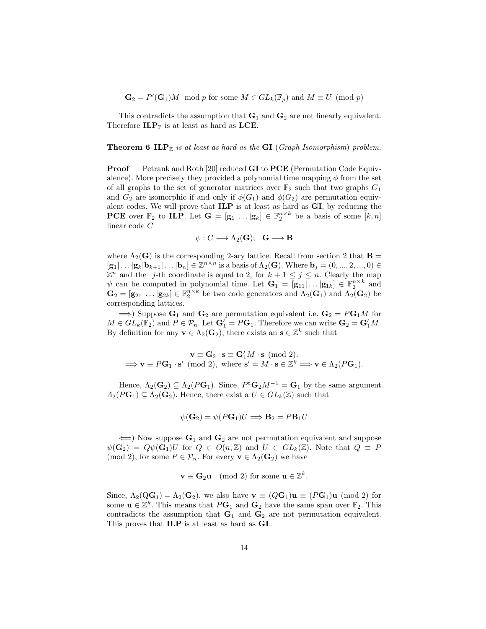$\mathbf{G}_2 = P'(\mathbf{G}_1)M \mod p$  for some  $M \in GL_k(\mathbb{F}_p)$  and  $M \equiv U \pmod{p}$ 

This contradicts the assumption that  $G_1$  and  $G_2$  are not linearly equivalent. Therefore  $\mathbf{ILP}_{\mathbb{Z}}$  is at least as hard as  $\mathbf{LCE}.$ 

#### **Theorem 6 ILP** $_{\mathbb{Z}}$  is at least as hard as the **GI** (Graph Isomorphism) problem.

**Proof** Petrank and Roth [20] reduced **GI** to **PCE** (Permutation Code Equivalence). More precisely they provided a polynomial time mapping  $\phi$  from the set of all graphs to the set of generator matrices over  $\mathbb{F}_2$  such that two graphs  $G_1$ and  $G_2$  are isomorphic if and only if  $\phi(G_1)$  and  $\phi(G_2)$  are permutation equivalent codes. We will prove that ILP is at least as hard as GI, by reducing the **PCE** over  $\mathbb{F}_2$  to **ILP**. Let  $\mathbf{G} = [\mathbf{g}_1 | \dots | \mathbf{g}_k] \in \mathbb{F}_2^{n \times k}$  be a basis of some  $[k, n]$ linear code C

$$
\psi: C \longrightarrow \Lambda_2(G); \quad G \longrightarrow B
$$

where  $\Lambda_2(G)$  is the corresponding 2-ary lattice. Recall from section 2 that **B** =  $[\mathbf{g}_1 | \dots | \mathbf{g}_k | \mathbf{b}_{k+1} | \dots | \mathbf{b}_n] \in \mathbb{Z}^{n \times n}$  is a basis of  $\Lambda_2(\mathbf{G})$ . Where  $\mathbf{b}_j = (0, ..., 2, ..., 0) \in$  $\mathbb{Z}^n$  and the j-th coordinate is equal to 2, for  $k+1 \leq j \leq n$ . Clearly the map  $\psi$  can be computed in polynomial time. Let  $\mathbf{G}_1 = [\mathbf{g}_{11} | \dots | \mathbf{g}_{1k}] \in \mathbb{F}_2^{n \times k}$  and  $\mathbf{G}_2 = [\mathbf{g}_{21} | \dots | \mathbf{g}_{2k}] \in \mathbb{F}_2^{n \times k}$  be two code generators and  $\Lambda_2(\mathbf{G}_1)$  and  $\Lambda_2(\mathbf{G}_2)$  be corresponding lattices.

 $\implies$ ) Suppose  $\mathbf{G}_1$  and  $\mathbf{G}_2$  are permutation equivalent i.e.  $\mathbf{G}_2 = P\mathbf{G}_1M$  for  $M \in GL_k(\mathbb{F}_2)$  and  $P \in \mathcal{P}_n$ . Let  $\mathbf{G}'_1 = P\mathbf{G}_1$ . Therefore we can write  $\mathbf{G}_2 = \mathbf{G}'_1 M$ . By definition for any  $\mathbf{v} \in \Lambda_2(\mathbf{G}_2)$ , there exists an  $\mathbf{s} \in \mathbb{Z}^k$  such that

$$
\mathbf{v} \equiv \mathbf{G}_2 \cdot \mathbf{s} \equiv \mathbf{G}'_1 M \cdot \mathbf{s} \pmod{2}.
$$
  
\n
$$
\implies \mathbf{v} \equiv P\mathbf{G}_1 \cdot \mathbf{s}' \pmod{2}, \text{ where } \mathbf{s}' = M \cdot \mathbf{s} \in \mathbb{Z}^k \implies \mathbf{v} \in \Lambda_2(P\mathbf{G}_1).
$$

Hence,  $\Lambda_2(\mathbf{G}_2) \subseteq \Lambda_2(P\mathbf{G}_1)$ . Since,  $P^{\mathbf{t}}\mathbf{G}_2M^{-1} = \mathbf{G}_1$  by the same argument  $\Lambda_2(P\mathbf{G}_1) \subseteq \Lambda_2(\mathbf{G}_2)$ . Hence, there exist a  $U \in GL_k(\mathbb{Z})$  such that

$$
\psi(\mathbf{G}_2) = \psi(P\mathbf{G}_1)U \Longrightarrow \mathbf{B}_2 = P\mathbf{B}_1U
$$

 $\leftarrow$ ) Now suppose  $\mathbf{G}_1$  and  $\mathbf{G}_2$  are not permutation equivalent and suppose  $\psi(\mathbf{G}_2) = Q\psi(\mathbf{G}_1)U$  for  $Q \in O(n,\mathbb{Z})$  and  $U \in GL_k(\mathbb{Z})$ . Note that  $Q \equiv P$ (mod 2), for some  $P \in \mathcal{P}_n$ . For every  $\mathbf{v} \in \Lambda_2(\mathbf{G}_2)$  we have

$$
\mathbf{v} \equiv \mathbf{G}_2 \mathbf{u} \pmod{2} \text{ for some } \mathbf{u} \in \mathbb{Z}^k.
$$

Since,  $\Lambda_2(\mathbf{Q}\mathbf{G}_1) = \Lambda_2(\mathbf{G}_2)$ , we also have  $\mathbf{v} \equiv (Q\mathbf{G}_1)\mathbf{u} \equiv (P\mathbf{G}_1)\mathbf{u} \pmod{2}$  for some  $\mathbf{u} \in \mathbb{Z}^k$ . This means that  $P\mathbf{G}_1$  and  $\mathbf{G}_2$  have the same span over  $\mathbb{F}_2$ . This contradicts the assumption that  $G_1$  and  $G_2$  are not permutation equivalent. This proves that ILP is at least as hard as GI.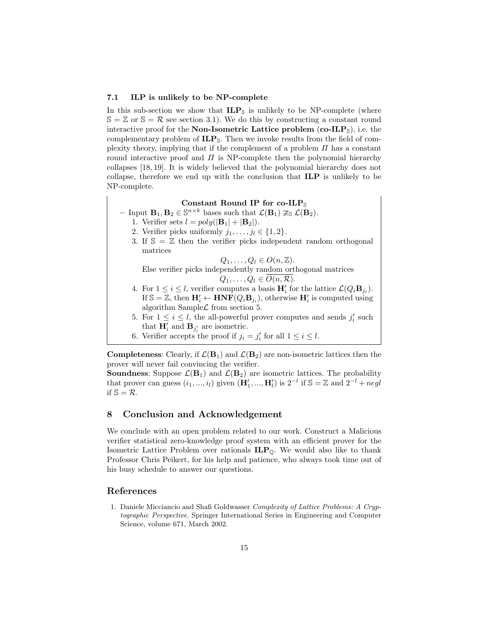### 7.1 ILP is unlikely to be NP-complete

In this sub-section we show that  $\mathbf{ILP}_{\mathbb{S}}$  is unlikely to be NP-complete (where  $\mathbb{S} = \mathbb{Z}$  or  $\mathbb{S} = \mathcal{R}$  see section 3.1). We do this by constructing a constant round interactive proof for the **Non-Isometric Lattice problem** (co-ILP<sub>S</sub>), i.e. the complementary problem of  $ILP<sub>S</sub>$ . Then we invoke results from the field of complexity theory, implying that if the complement of a problem  $\Pi$  has a constant round interactive proof and  $\Pi$  is NP-complete then the polynomial hierarchy collapses [18, 19]. It is widely believed that the polynomial hierarchy does not collapse, therefore we end up with the conclusion that ILP is unlikely to be NP-complete.

# Constant Round IP for co-ILPs

- Input  $\mathbf{B}_1, \mathbf{B}_2 \in \mathbb{S}^{n \times k}$  bases such that  $\mathcal{L}(\mathbf{B}_1) \ncong_{\mathbb{S}} \mathcal{L}(\mathbf{B}_2)$ .

- 1. Verifier sets  $l = poly(|\mathbf{B}_1| + |\mathbf{B}_2|)$ .
- 2. Verifier picks uniformly  $j_1, \ldots, j_l \in \{1, 2\}.$
- 3. If  $\mathbb{S} = \mathbb{Z}$  then the verifier picks independent random orthogonal matrices

 $Q_1, \ldots, Q_l \in O(n, \mathbb{Z}).$ 

Else verifier picks independently random orthogonal matrices  $Q_1, \ldots, Q_l \in O(n, \mathcal{R}).$ 

- 4. For  $1 \leq i \leq l$ , verifier computes a basis  $\mathbf{H}'_i$  for the lattice  $\mathcal{L}(Q_i \mathbf{B}_{j_i})$ . If  $\mathbb{S} = \mathbb{Z}$ , then  $\mathbf{H}'_i \leftarrow \mathbf{HNF}(Q_i \mathbf{B}_{j_i})$ , otherwise  $\mathbf{H}'_i$  is computed using algorithm Sample  $\mathcal L$  from section 5.
- 5. For  $1 \leq i \leq l$ , the all-powerful prover computes and sends  $j'_i$  such that  $\mathbf{H}'_i$  and  $\mathbf{B}_{j'_i}$  are isometric.
- 6. Verifier accepts the proof if  $j_i = j'_i$  for all  $1 \leq i \leq l$ .

**Completeness:** Clearly, if  $\mathcal{L}(\mathbf{B}_1)$  and  $\mathcal{L}(\mathbf{B}_2)$  are non-isometric lattices then the prover will never fail convincing the verifier.

**Soundness:** Suppose  $\mathcal{L}(\mathbf{B}_1)$  and  $\mathcal{L}(\mathbf{B}_2)$  are isometric lattices. The probability that prover can guess  $(i_1, ..., i_l)$  given  $(\mathbf{H}'_1, ..., \mathbf{H}'_l)$  is  $2^{-l}$  if  $\mathbb{S} = \mathbb{Z}$  and  $2^{-l} + negl$ if  $\mathbb{S} = \mathcal{R}$ .

# 8 Conclusion and Acknowledgement

We conclude with an open problem related to our work. Construct a Malicious verifier statistical zero-knowledge proof system with an efficient prover for the Isometric Lattice Problem over rationals  $ILP_{\mathbb{Q}}$ . We would also like to thank Professor Chris Peikert, for his help and patience, who always took time out of his busy schedule to answer our questions.

### References

1. Daniele Micciancio and Shafi Goldwasser Complexity of Lattice Problems: A Cryptographic Perspective. Springer International Series in Engineering and Computer Science, volume 671, March 2002.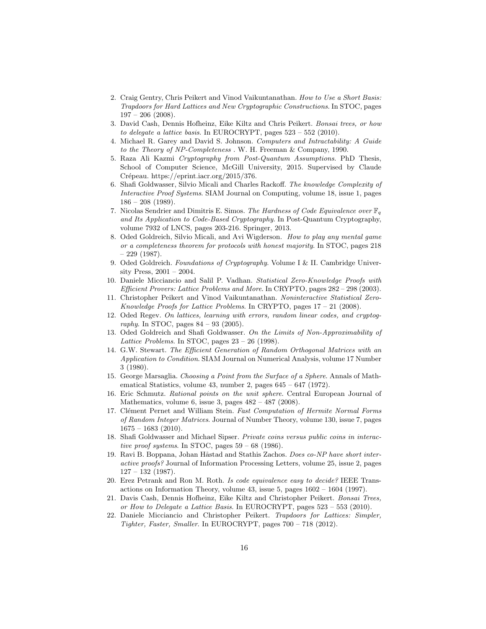- 2. Craig Gentry, Chris Peikert and Vinod Vaikuntanathan. How to Use a Short Basis: Trapdoors for Hard Lattices and New Cryptographic Constructions. In STOC, pages  $197 - 206$  (2008).
- 3. David Cash, Dennis Hofheinz, Eike Kiltz and Chris Peikert. Bonsai trees, or how to delegate a lattice basis. In EUROCRYPT, pages 523 – 552 (2010).
- 4. Michael R. Garey and David S. Johnson. Computers and Intractability: A Guide to the Theory of NP-Completeness . W. H. Freeman & Company, 1990.
- 5. Raza Ali Kazmi Cryptography from Post-Quantum Assumptions. PhD Thesis, School of Computer Science, McGill University, 2015. Supervised by Claude Crépeau. https://eprint.iacr.org/2015/376.
- 6. Shafi Goldwasser, Silvio Micali and Charles Rackoff. The knowledge Complexity of Interactive Proof Systems. SIAM Journal on Computing, volume 18, issue 1, pages  $186 - 208$  (1989).
- 7. Nicolas Sendrier and Dimitris E. Simos. The Hardness of Code Equivalence over  $\mathbb{F}_q$ and Its Application to Code-Based Cryptography. In Post-Quantum Cryptography, volume 7932 of LNCS, pages 203-216. Springer, 2013.
- 8. Oded Goldreich, Silvio Micali, and Avi Wigderson. How to play any mental game or a completeness theorem for protocols with honest majority. In STOC, pages 218  $-229$  (1987).
- 9. Oded Goldreich. Foundations of Cryptography. Volume I & II. Cambridge University Press, 2001 – 2004.
- 10. Daniele Micciancio and Salil P. Vadhan. Statistical Zero-Knowledge Proofs with Efficient Provers: Lattice Problems and More. In CRYPTO, pages 282 – 298 (2003).
- 11. Christopher Peikert and Vinod Vaikuntanathan. Noninteractive Statistical Zero-Knowledge Proofs for Lattice Problems. In CRYPTO, pages  $17 - 21$  (2008).
- 12. Oded Regev. On lattices, learning with errors, random linear codes, and cryptography. In STOC, pages  $84 - 93$  (2005).
- 13. Oded Goldreich and Shafi Goldwasser. On the Limits of Non-Approximability of Lattice Problems. In STOC, pages  $23 - 26$  (1998).
- 14. G.W. Stewart. The Efficient Generation of Random Orthogonal Matrices with an Application to Condition. SIAM Journal on Numerical Analysis, volume 17 Number 3 (1980).
- 15. George Marsaglia. Choosing a Point from the Surface of a Sphere. Annals of Mathematical Statistics, volume 43, number 2, pages 645 – 647 (1972).
- 16. Eric Schmutz. Rational points on the unit sphere. Central European Journal of Mathematics, volume 6, issue 3, pages  $482 - 487$  (2008).
- 17. Clément Pernet and William Stein. Fast Computation of Hermite Normal Forms of Random Integer Matrices. Journal of Number Theory, volume 130, issue 7, pages  $1675 - 1683$  (2010).
- 18. Shafi Goldwasser and Michael Sipser. Private coins versus public coins in interactive proof systems. In STOC, pages  $59 - 68$  (1986).
- 19. Ravi B. Boppana, Johan Håstad and Stathis Zachos. Does co-NP have short interactive proofs? Journal of Information Processing Letters, volume 25, issue 2, pages  $127 - 132$  (1987).
- 20. Erez Petrank and Ron M. Roth. Is code equivalence easy to decide? IEEE Transactions on Information Theory, volume 43, issue 5, pages 1602 – 1604 (1997).
- 21. Davis Cash, Dennis Hofheinz, Eike Kiltz and Christopher Peikert. Bonsai Trees, or How to Delegate a Lattice Basis. In EUROCRYPT, pages 523 – 553 (2010).
- 22. Daniele Micciancio and Christopher Peikert. Trapdoors for Lattices: Simpler, Tighter, Faster, Smaller. In EUROCRYPT, pages 700 – 718 (2012).